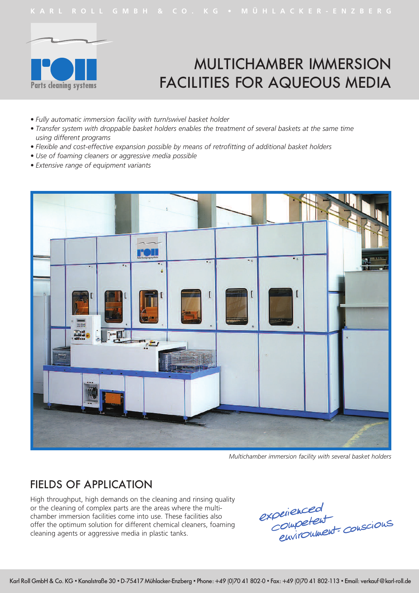

# MULTICHAMBER IMMERSION FACILITIES FOR AQUEOUS MEDIA

- *• Fully automatic immersion facility with turn/swivel basket holder*
- *• Transfer system with droppable basket holders enables the treatment of several baskets at the same time using different programs*
- *• Flexible and cost-effective expansion possible by means of retrofitting of additional basket holders*
- *• Use of foaming cleaners or aggressive media possible*
- *• Extensive range of equipment variants*



*Multichamber immersion facility with several basket holders*

#### FIELDS OF APPLICATION

High throughput, high demands on the cleaning and rinsing quality or the cleaning of complex parts are the areas where the multichamber immersion facilities come into use. These facilities also offer the optimum solution for different chemical cleaners, foaming cleaning agents or aggressive media in plastic tanks.

experienced<br>Competent<br>Environment conscious